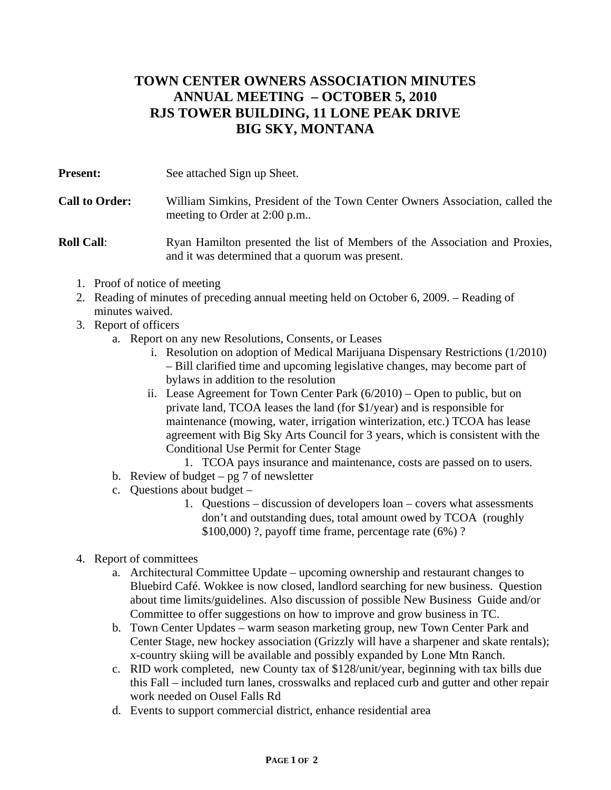## **TOWN CENTER OWNERS ASSOCIATION MINUTES ANNUAL MEETING – OCTOBER 5, 2010 RJS TOWER BUILDING, 11 LONE PEAK DRIVE BIG SKY, MONTANA**

**Present:** See attached Sign up Sheet.

## **Call to Order:** William Simkins, President of the Town Center Owners Association, called the meeting to Order at 2:00 p.m..

## **Roll Call:** Ryan Hamilton presented the list of Members of the Association and Proxies, and it was determined that a quorum was present.

- 1. Proof of notice of meeting
- 2. Reading of minutes of preceding annual meeting held on October 6, 2009. Reading of minutes waived.
- 3. Report of officers
	- a. Report on any new Resolutions, Consents, or Leases
		- i. Resolution on adoption of Medical Marijuana Dispensary Restrictions (1/2010) – Bill clarified time and upcoming legislative changes, may become part of bylaws in addition to the resolution
		- ii. Lease Agreement for Town Center Park (6/2010) Open to public, but on private land, TCOA leases the land (for \$1/year) and is responsible for maintenance (mowing, water, irrigation winterization, etc.) TCOA has lease agreement with Big Sky Arts Council for 3 years, which is consistent with the Conditional Use Permit for Center Stage
			- 1. TCOA pays insurance and maintenance, costs are passed on to users.
	- b. Review of budget  $pg 7$  of newsletter
	- c. Questions about budget
		- 1. Questions discussion of developers loan covers what assessments don't and outstanding dues, total amount owed by TCOA (roughly \$100,000) ?, payoff time frame, percentage rate (6%) ?
- 4. Report of committees
	- a. Architectural Committee Update upcoming ownership and restaurant changes to Bluebird Café. Wokkee is now closed, landlord searching for new business. Question about time limits/guidelines. Also discussion of possible New Business Guide and/or Committee to offer suggestions on how to improve and grow business in TC.
	- b. Town Center Updates warm season marketing group, new Town Center Park and Center Stage, new hockey association (Grizzly will have a sharpener and skate rentals); x-country skiing will be available and possibly expanded by Lone Mtn Ranch.
	- c. RID work completed, new County tax of \$128/unit/year, beginning with tax bills due this Fall – included turn lanes, crosswalks and replaced curb and gutter and other repair work needed on Ousel Falls Rd
	- d. Events to support commercial district, enhance residential area